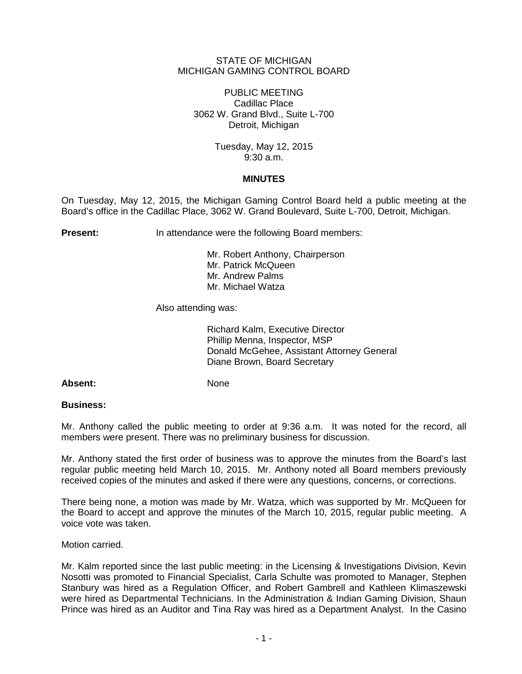## STATE OF MICHIGAN MICHIGAN GAMING CONTROL BOARD

PUBLIC MEETING Cadillac Place 3062 W. Grand Blvd., Suite L-700 Detroit, Michigan

> Tuesday, May 12, 2015 9:30 a.m.

## **MINUTES**

On Tuesday, May 12, 2015, the Michigan Gaming Control Board held a public meeting at the Board's office in the Cadillac Place, 3062 W. Grand Boulevard, Suite L-700, Detroit, Michigan.

**Present:** In attendance were the following Board members:

Mr. Robert Anthony, Chairperson Mr. Patrick McQueen Mr. Andrew Palms Mr. Michael Watza

Also attending was:

Richard Kalm, Executive Director Phillip Menna, Inspector, MSP Donald McGehee, Assistant Attorney General Diane Brown, Board Secretary

Absent: None

## **Business:**

Mr. Anthony called the public meeting to order at 9:36 a.m. It was noted for the record, all members were present. There was no preliminary business for discussion.

Mr. Anthony stated the first order of business was to approve the minutes from the Board's last regular public meeting held March 10, 2015. Mr. Anthony noted all Board members previously received copies of the minutes and asked if there were any questions, concerns, or corrections.

There being none, a motion was made by Mr. Watza, which was supported by Mr. McQueen for the Board to accept and approve the minutes of the March 10, 2015, regular public meeting. A voice vote was taken.

Motion carried.

Mr. Kalm reported since the last public meeting: in the Licensing & Investigations Division, Kevin Nosotti was promoted to Financial Specialist, Carla Schulte was promoted to Manager, Stephen Stanbury was hired as a Regulation Officer, and Robert Gambrell and Kathleen Klimaszewski were hired as Departmental Technicians. In the Administration & Indian Gaming Division, Shaun Prince was hired as an Auditor and Tina Ray was hired as a Department Analyst. In the Casino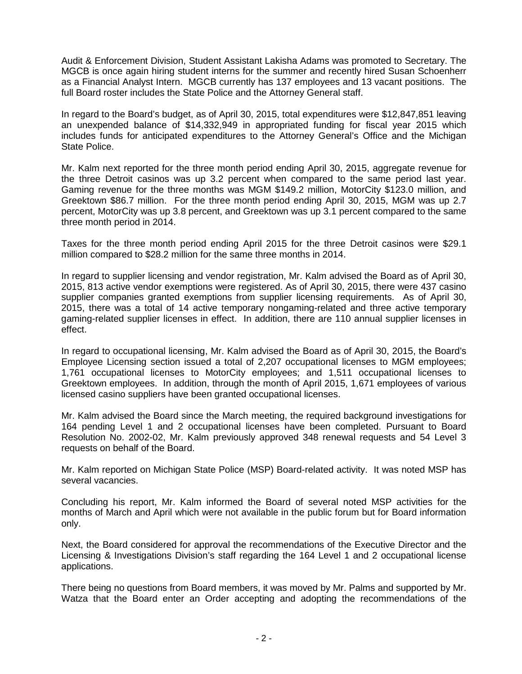Audit & Enforcement Division, Student Assistant Lakisha Adams was promoted to Secretary. The MGCB is once again hiring student interns for the summer and recently hired Susan Schoenherr as a Financial Analyst Intern. MGCB currently has 137 employees and 13 vacant positions. The full Board roster includes the State Police and the Attorney General staff.

In regard to the Board's budget, as of April 30, 2015, total expenditures were \$12,847,851 leaving an unexpended balance of \$14,332,949 in appropriated funding for fiscal year 2015 which includes funds for anticipated expenditures to the Attorney General's Office and the Michigan State Police.

Mr. Kalm next reported for the three month period ending April 30, 2015, aggregate revenue for the three Detroit casinos was up 3.2 percent when compared to the same period last year. Gaming revenue for the three months was MGM \$149.2 million, MotorCity \$123.0 million, and Greektown \$86.7 million. For the three month period ending April 30, 2015, MGM was up 2.7 percent, MotorCity was up 3.8 percent, and Greektown was up 3.1 percent compared to the same three month period in 2014.

Taxes for the three month period ending April 2015 for the three Detroit casinos were \$29.1 million compared to \$28.2 million for the same three months in 2014.

In regard to supplier licensing and vendor registration, Mr. Kalm advised the Board as of April 30, 2015, 813 active vendor exemptions were registered. As of April 30, 2015, there were 437 casino supplier companies granted exemptions from supplier licensing requirements. As of April 30, 2015, there was a total of 14 active temporary nongaming-related and three active temporary gaming-related supplier licenses in effect. In addition, there are 110 annual supplier licenses in effect.

In regard to occupational licensing, Mr. Kalm advised the Board as of April 30, 2015, the Board's Employee Licensing section issued a total of 2,207 occupational licenses to MGM employees; 1,761 occupational licenses to MotorCity employees; and 1,511 occupational licenses to Greektown employees. In addition, through the month of April 2015, 1,671 employees of various licensed casino suppliers have been granted occupational licenses.

Mr. Kalm advised the Board since the March meeting, the required background investigations for 164 pending Level 1 and 2 occupational licenses have been completed. Pursuant to Board Resolution No. 2002-02, Mr. Kalm previously approved 348 renewal requests and 54 Level 3 requests on behalf of the Board.

Mr. Kalm reported on Michigan State Police (MSP) Board-related activity. It was noted MSP has several vacancies.

Concluding his report, Mr. Kalm informed the Board of several noted MSP activities for the months of March and April which were not available in the public forum but for Board information only.

Next, the Board considered for approval the recommendations of the Executive Director and the Licensing & Investigations Division's staff regarding the 164 Level 1 and 2 occupational license applications.

There being no questions from Board members, it was moved by Mr. Palms and supported by Mr. Watza that the Board enter an Order accepting and adopting the recommendations of the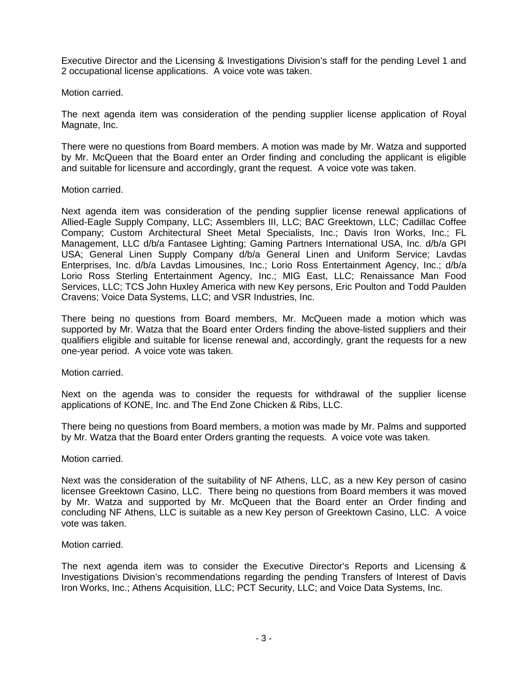Executive Director and the Licensing & Investigations Division's staff for the pending Level 1 and 2 occupational license applications. A voice vote was taken.

Motion carried.

The next agenda item was consideration of the pending supplier license application of Royal Magnate, Inc.

There were no questions from Board members. A motion was made by Mr. Watza and supported by Mr. McQueen that the Board enter an Order finding and concluding the applicant is eligible and suitable for licensure and accordingly, grant the request. A voice vote was taken.

Motion carried.

Next agenda item was consideration of the pending supplier license renewal applications of Allied-Eagle Supply Company, LLC; Assemblers III, LLC; BAC Greektown, LLC; Cadillac Coffee Company; Custom Architectural Sheet Metal Specialists, Inc.; Davis Iron Works, Inc.; FL Management, LLC d/b/a Fantasee Lighting; Gaming Partners International USA, Inc. d/b/a GPI USA; General Linen Supply Company d/b/a General Linen and Uniform Service; Lavdas Enterprises, Inc. d/b/a Lavdas Limousines, Inc.; Lorio Ross Entertainment Agency, Inc.; d/b/a Lorio Ross Sterling Entertainment Agency, Inc.; MIG East, LLC; Renaissance Man Food Services, LLC; TCS John Huxley America with new Key persons, Eric Poulton and Todd Paulden Cravens; Voice Data Systems, LLC; and VSR Industries, Inc.

There being no questions from Board members, Mr. McQueen made a motion which was supported by Mr. Watza that the Board enter Orders finding the above-listed suppliers and their qualifiers eligible and suitable for license renewal and, accordingly, grant the requests for a new one-year period. A voice vote was taken.

Motion carried.

Next on the agenda was to consider the requests for withdrawal of the supplier license applications of KONE, Inc. and The End Zone Chicken & Ribs, LLC.

There being no questions from Board members, a motion was made by Mr. Palms and supported by Mr. Watza that the Board enter Orders granting the requests. A voice vote was taken.

Motion carried.

Next was the consideration of the suitability of NF Athens, LLC, as a new Key person of casino licensee Greektown Casino, LLC. There being no questions from Board members it was moved by Mr. Watza and supported by Mr. McQueen that the Board enter an Order finding and concluding NF Athens, LLC is suitable as a new Key person of Greektown Casino, LLC. A voice vote was taken.

Motion carried.

The next agenda item was to consider the Executive Director's Reports and Licensing & Investigations Division's recommendations regarding the pending Transfers of Interest of Davis Iron Works, Inc.; Athens Acquisition, LLC; PCT Security, LLC; and Voice Data Systems, Inc.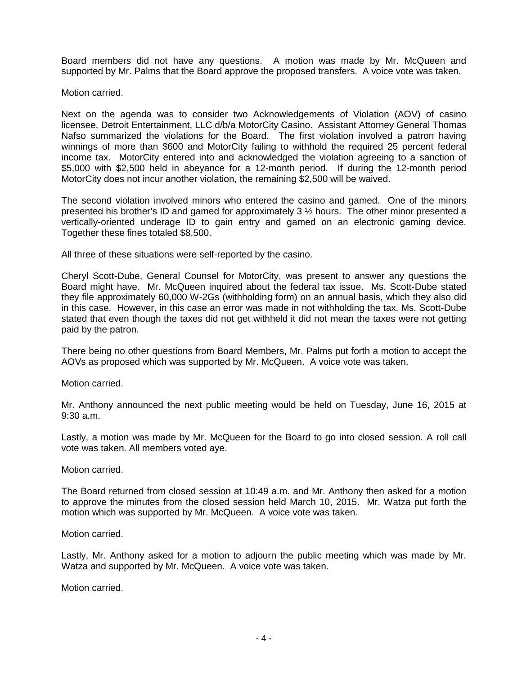Board members did not have any questions. A motion was made by Mr. McQueen and supported by Mr. Palms that the Board approve the proposed transfers. A voice vote was taken.

Motion carried.

Next on the agenda was to consider two Acknowledgements of Violation (AOV) of casino licensee, Detroit Entertainment, LLC d/b/a MotorCity Casino. Assistant Attorney General Thomas Nafso summarized the violations for the Board. The first violation involved a patron having winnings of more than \$600 and MotorCity failing to withhold the required 25 percent federal income tax. MotorCity entered into and acknowledged the violation agreeing to a sanction of \$5,000 with \$2,500 held in abeyance for a 12-month period. If during the 12-month period MotorCity does not incur another violation, the remaining \$2,500 will be waived.

The second violation involved minors who entered the casino and gamed. One of the minors presented his brother's ID and gamed for approximately 3 ½ hours. The other minor presented a vertically-oriented underage ID to gain entry and gamed on an electronic gaming device. Together these fines totaled \$8,500.

All three of these situations were self-reported by the casino.

Cheryl Scott-Dube, General Counsel for MotorCity, was present to answer any questions the Board might have. Mr. McQueen inquired about the federal tax issue. Ms. Scott-Dube stated they file approximately 60,000 W-2Gs (withholding form) on an annual basis, which they also did in this case. However, in this case an error was made in not withholding the tax. Ms. Scott-Dube stated that even though the taxes did not get withheld it did not mean the taxes were not getting paid by the patron.

There being no other questions from Board Members, Mr. Palms put forth a motion to accept the AOVs as proposed which was supported by Mr. McQueen. A voice vote was taken.

Motion carried.

Mr. Anthony announced the next public meeting would be held on Tuesday, June 16, 2015 at 9:30 a.m.

Lastly, a motion was made by Mr. McQueen for the Board to go into closed session. A roll call vote was taken. All members voted aye.

Motion carried.

The Board returned from closed session at 10:49 a.m. and Mr. Anthony then asked for a motion to approve the minutes from the closed session held March 10, 2015. Mr. Watza put forth the motion which was supported by Mr. McQueen. A voice vote was taken.

Motion carried.

Lastly, Mr. Anthony asked for a motion to adjourn the public meeting which was made by Mr. Watza and supported by Mr. McQueen. A voice vote was taken.

Motion carried.